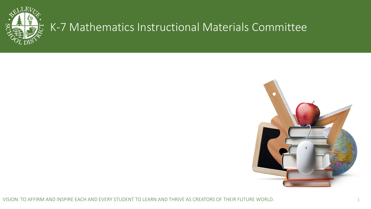

# K-7 Mathematics Instructional Materials Committee



VISION: TO AFFIRM AND INSPIRE EACH AND EVERY STUDENT TO LEARN AND THRIVE AS CREATORS OF THEIR FUTURE WORLD. 1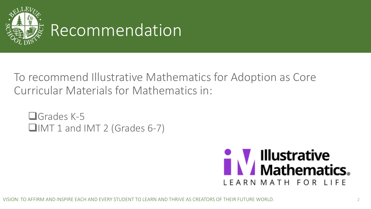

To recommend Illustrative Mathematics for Adoption as Core Curricular Materials for Mathematics in:

□Grades K-5 **QIMT 1 and IMT 2 (Grades 6-7)** 

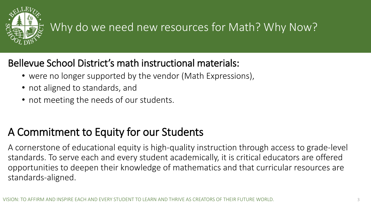

# Why do we need new resources for Math? Why Now?

### Bellevue School District's math instructional materials:

- were no longer supported by the vendor (Math Expressions),
- not aligned to standards, and
- not meeting the needs of our students.

# A Commitment to Equity for our Students

A cornerstone of educational equity is high-quality instruction through access to grade-level standards. To serve each and every student academically, it is critical educators are offered opportunities to deepen their knowledge of mathematics and that curricular resources are standards-aligned.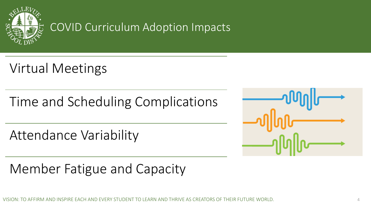

# COVID Curriculum Adoption Impacts

Virtual Meetings

Time and Scheduling Complications

Attendance Variability

Member Fatigue and Capacity

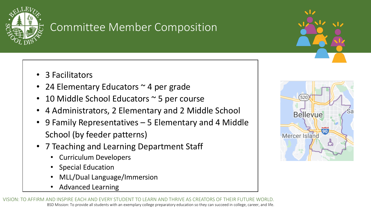

## Committee Member Composition

- 3 Facilitators
- 24 Elementary Educators ~ 4 per grade
- 10 Middle School Educators ~ 5 per course
- 4 Administrators, 2 Elementary and 2 Middle School
- 9 Family Representatives 5 Elementary and 4 Middle School (by feeder patterns)
- 7 Teaching and Learning Department Staff
	- Curriculum Developers
	- Special Education
	- MLL/Dual Language/Immersion
	- Advanced Learning

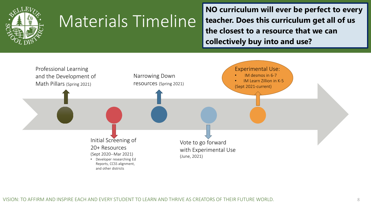

# Materials Timeline

**NO curriculum will ever be perfect to every teacher. Does this curriculum get all of us the closest to a resource that we can collectively buy into and use?**

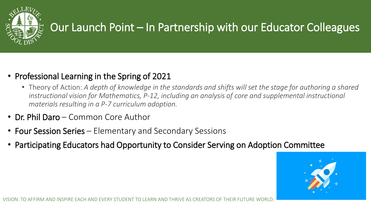

# Our Launch Point – In Partnership with our Educator Colleagues

- Professional Learning in the Spring of 2021
	- Theory of Action: *A depth of knowledge in the standards and shifts will set the stage for authoring a shared instructional vision for Mathematics, P-12, including an analysis of core and supplemental instructional materials resulting in a P-7 curriculum adoption.*
- Dr. Phil Daro Common Core Author
- Four Session Series Elementary and Secondary Sessions
- Participating Educators had Opportunity to Consider Serving on Adoption Committee

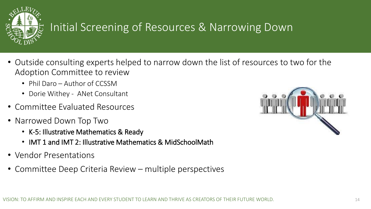

# Initial Screening of Resources & Narrowing Down

- Outside consulting experts helped to narrow down the list of resources to two for the Adoption Committee to review
	- Phil Daro Author of CCSSM
	- Dorie Withey ANet Consultant
- Committee Evaluated Resources
- Narrowed Down Top Two
	- K-5: Illustrative Mathematics & Ready
	- IMT 1 and IMT 2: Illustrative Mathematics & MidSchoolMath
- Vendor Presentations
- Committee Deep Criteria Review multiple perspectives

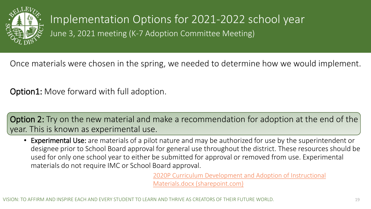

Implementation Options for 2021-2022 school year

June 3, 2021 meeting (K-7 Adoption Committee Meeting)

Once materials were chosen in the spring, we needed to determine how we would implement.

Option1: Move forward with full adoption.

Option 2: Try on the new material and make a recommendation for adoption at the end of the year. This is known as experimental use.

• Experimental Use: are materials of a pilot nature and may be authorized for use by the superintendent or designee prior to School Board approval for general use throughout the district. These resources should be used for only one school year to either be submitted for approval or removed from use. Experimental materials do not require IMC or School Board approval.

> [2020P Curriculum Development and Adoption of Instructional](https://bsd405.sharepoint.com/:w:/r/sites/curriculum/Department/_layouts/15/Doc.aspx?sourcedoc=%7BCEFE8953-FCD0-453B-B2E0-C04B91ED0443%7D&file=2020P%20Curriculum%20Development%20and%20Adoption%20of%20Instructional%20Materials.docx&action=default&mobileredirect=true) Materials.docx (sharepoint.com)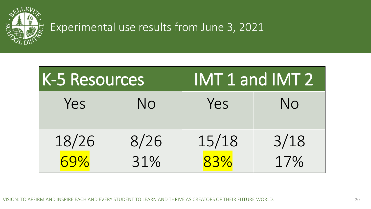

# Experimental use results from June 3, 2021

| K-5 Resources |                |              | IMT 1 and IMT 2 |
|---------------|----------------|--------------|-----------------|
| Yes           | N <sub>O</sub> | Yes          | N <sub>O</sub>  |
| 18/26<br>69%  | 8/26<br>31%    | 15/18<br>83% | 3/18<br>17%     |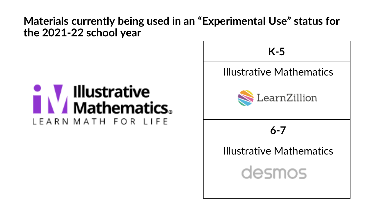## **Materials currently being used in an "Experimental Use" status for the 2021-22 school year**

# **Illustrative<br>Mathematics。** LEARN MATH FOR LIFE

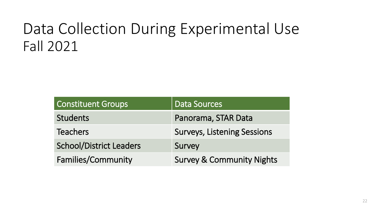# Data Collection During Experimental Use Fall 2021

| <b>Constituent Groups</b>      | <b>Data Sources</b>                  |
|--------------------------------|--------------------------------------|
| <b>Students</b>                | Panorama, STAR Data                  |
| <b>Teachers</b>                | <b>Surveys, Listening Sessions</b>   |
| <b>School/District Leaders</b> | Survey                               |
| <b>Families/Community</b>      | <b>Survey &amp; Community Nights</b> |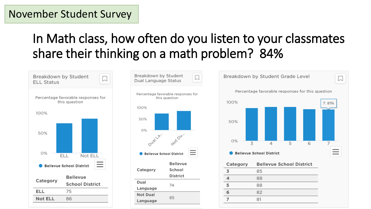### November Student Survey

# In Math class, how often do you listen to your classmates share their thinking on a math problem? 84%







| Category | <b>Bellevue School District</b> |
|----------|---------------------------------|
|          | 85                              |
|          | 88                              |
|          | 88                              |
| ิธ       | 82                              |
|          | 81                              |
|          |                                 |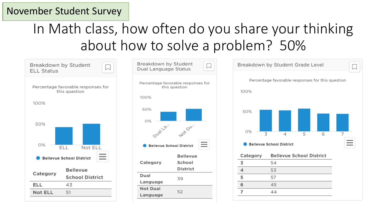### November Student Survey

# In Math class, how often do you share your thinking about how to solve a problem? 50%

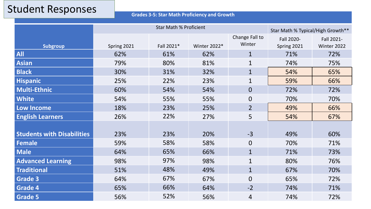**Grades 3-5: Star Math Proficiency and Growth**

|                                   | <b>Star Math % Proficient</b> |            |              | Star Math % Typical/High Growth** |             |             |
|-----------------------------------|-------------------------------|------------|--------------|-----------------------------------|-------------|-------------|
|                                   |                               |            |              | Change Fall to                    | Fall 2020-  | Fall 2021-  |
| <b>Subgroup</b>                   | Spring 2021                   | Fall 2021* | Winter 2022* | Winter                            | Spring 2021 | Winter 2022 |
| <b>All</b>                        | 62%                           | 61%        | 62%          | $\mathbf{1}$                      | 71%         | 72%         |
| <b>Asian</b>                      | 79%                           | 80%        | 81%          | $\mathbf{1}$                      | 74%         | 75%         |
| <b>Black</b>                      | 30%                           | 31%        | 32%          | $\mathbf{1}$                      | 54%         | 65%         |
| Hispanic                          | 25%                           | 22%        | 23%          | $\mathbf 1$                       | 59%         | 66%         |
| <b>Multi-Ethnic</b>               | 60%                           | 54%        | 54%          | $\overline{0}$                    | 72%         | 72%         |
| <b>White</b>                      | 54%                           | 55%        | 55%          | $\boldsymbol{0}$                  | 70%         | 70%         |
| Low Income                        | 18%                           | 23%        | 25%          | $\overline{2}$                    | 49%         | 66%         |
| <b>English Learners</b>           | 26%                           | 22%        | 27%          | 5                                 | 54%         | 67%         |
|                                   |                               |            |              |                                   |             |             |
| <b>Students with Disabilities</b> | 23%                           | 23%        | 20%          | $-3$                              | 49%         | 60%         |
| Female                            | 59%                           | 58%        | 58%          | $\mathbf 0$                       | 70%         | 71%         |
| <b>Male</b>                       | 64%                           | 65%        | 66%          | $\mathbf{1}$                      | 71%         | 73%         |
| <b>Advanced Learning</b>          | 98%                           | 97%        | 98%          | $\mathbf{1}$                      | 80%         | 76%         |
| <b>Traditional</b>                | 51%                           | 48%        | 49%          | $\mathbf{1}$                      | 67%         | 70%         |
| <b>Grade 3</b>                    | 64%                           | 67%        | 67%          | $\overline{0}$                    | 65%         | 72%         |
| <b>Grade 4</b>                    | 65%                           | 66%        | 64%          | $-2$                              | 74%         | 71%         |
| <b>Grade 5</b>                    | 56%                           | 52%        | 56%          | 4                                 | 74%         | 72%         |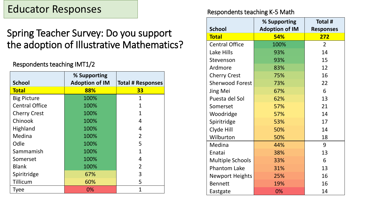## Educator Responses

### Spring Teacher Survey: Do you support the adoption of Illustrative Mathematics?

#### Respondents teaching IMT1/2

| <b>School</b>         | % Supporting<br><b>Adoption of IM</b> | <b>Total # Responses</b> |
|-----------------------|---------------------------------------|--------------------------|
| <b>Total</b>          | 88%                                   | 33                       |
| <b>Big Picture</b>    | 100%                                  | $\overline{1}$           |
| <b>Central Office</b> | 100%                                  | 1                        |
| <b>Cherry Crest</b>   | 100%                                  | 1                        |
| Chinook               | 100%                                  | 4                        |
| Highland              | 100%                                  | 4                        |
| Medina                | 100%                                  | $\overline{2}$           |
| Odle                  | 100%                                  | 5                        |
| Sammamish             | 100%                                  | 1                        |
| Somerset              | 100%                                  | 4                        |
| <b>Blank</b>          | 100%                                  | $\overline{2}$           |
| Spiritridge           | 67%                                   | 3                        |
| Tillicum              | 60%                                   | 5                        |
| <b>Tyee</b>           | 0%                                    | 1                        |

#### Respondents teaching K-5 Math

|                         | % Supporting          | Total #          |
|-------------------------|-----------------------|------------------|
| <b>School</b>           | <b>Adoption of IM</b> | <b>Responses</b> |
| <b>Total</b>            | <b>54%</b>            | 272              |
| <b>Central Office</b>   | 100%                  | $\overline{2}$   |
| Lake Hills              | 93%                   | 14               |
| Stevenson               | 93%                   | 15               |
| Ardmore                 | 83%                   | 12               |
| <b>Cherry Crest</b>     | 75%                   | 16               |
| <b>Sherwood Forest</b>  | 73%                   | 22               |
| <b>Jing Mei</b>         | 67%                   | 6                |
| Puesta del Sol          | 62%                   | 13               |
| Somerset                | 57%                   | 21               |
| Woodridge               | 57%                   | 14               |
| Spiritridge             | 53%                   | 17               |
| Clyde Hill              | 50%                   | 14               |
| Wilburton               | 50%                   | 18               |
| Medina                  | 44%                   | 9                |
| Enatai                  | 38%                   | 13               |
| <b>Multiple Schools</b> | 33%                   | 6                |
| <b>Phantom Lake</b>     | 31%                   | 13               |
| <b>Newport Heights</b>  | 25%                   | 16               |
| <b>Bennett</b>          | 19%                   | 16               |
| Eastgate                | 0%                    | 14               |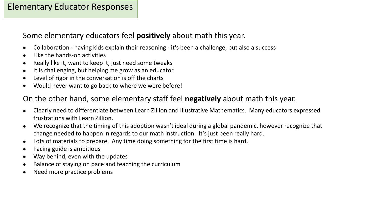#### Elementary Educator Responses

#### Some elementary educators feel **positively** about math this year.

- Collaboration having kids explain their reasoning it's been a challenge, but also a success
- Like the hands-on activities
- Really like it, want to keep it, just need some tweaks
- It is challenging, but helping me grow as an educator
- Level of rigor in the conversation is off the charts
- Would never want to go back to where we were before!

#### On the other hand, some elementary staff feel **negatively** about math this year.

- Clearly need to differentiate between Learn Zillion and Illustrative Mathematics. Many educators expressed frustrations with Learn Zillion.
- We recognize that the timing of this adoption wasn't ideal during a global pandemic, however recognize that change needed to happen in regards to our math instruction. It's just been really hard.
- Lots of materials to prepare. Any time doing something for the first time is hard.
- Pacing guide is ambitious
- Way behind, even with the updates
- Balance of staying on pace and teaching the curriculum
- Need more practice problems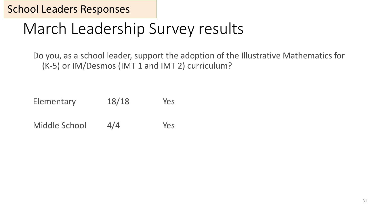School Leaders Responses

# March Leadership Survey results

Do you, as a school leader, support the adoption of the Illustrative Mathematics for (K-5) or IM/Desmos (IMT 1 and IMT 2) curriculum?

Elementary 18/18 Yes

Middle School 4/4 Yes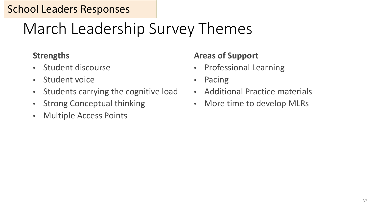# March Leadership Survey Themes

#### **Strengths**

- Student discourse
- Student voice
- Students carrying the cognitive load
- Strong Conceptual thinking
- Multiple Access Points

### **Areas of Support**

- Professional Learning
- Pacing
- Additional Practice materials
- More time to develop MLRs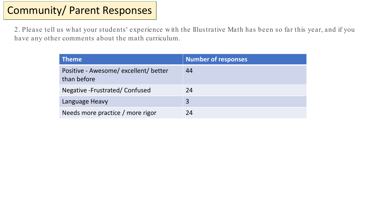## Community/ Parent Responses

2. Please tell us what your students' experience with the Illustrative Math has been so far this year, and if you have any other comments about the math curriculum.

| <b>Theme</b>                                       | <b>Number of responses</b> |
|----------------------------------------------------|----------------------------|
| Positive - Awesome/excellent/better<br>than before | 44                         |
| Negative - Frustrated/Confused                     | 24                         |
| Language Heavy                                     | 3                          |
| Needs more practice / more rigor                   | 24                         |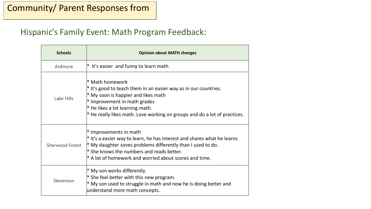#### Hispanic's Family Event: Math Program Feedback:

| <b>Schools</b>  | <b>Opinion about MATH changes</b>                                                                                                                                                                                                                                               |
|-----------------|---------------------------------------------------------------------------------------------------------------------------------------------------------------------------------------------------------------------------------------------------------------------------------|
| Ardmore         | $*$ It's easier and funny to learn math                                                                                                                                                                                                                                         |
| Lake Hills      | * Math homework<br>$*$ It's good to teach them in an easier way as in our countries.<br>* My soon is happier and likes math<br>* Improvement in math grades<br>$*$ He likes a lot learning math.<br>* He really likes math. Love working on groups and do a lot of practices.   |
| Sherwood Forest | * Improvements in math<br>$*$ It's a easier way to learn, he has interest and shares what he learns<br>$*$ My daughter soves problems differently than I used to do.<br>$*$ She knows the numbers and reads better.<br>$*$ A lot of homework and worried about scores and time. |
| Stevenson       | * My son works differently.<br>$*$ She feel better with this new program.<br>$*$ My son used to struggle in math and now he is doing better and<br>understand more math concepts.                                                                                               |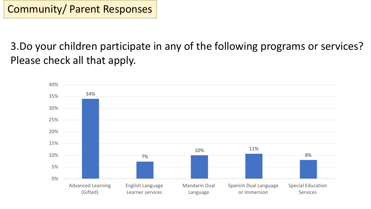3.Do your children participate in any of the following programs or services? Please check all that apply.

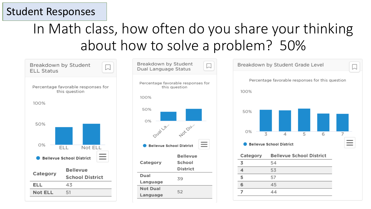# In Math class, how often do you share your thinking about how to solve a problem? 50%

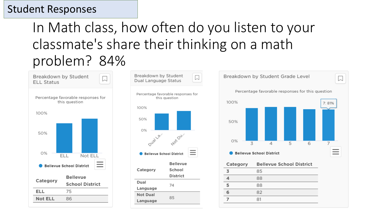# In Math class, how often do you listen to your classmate's share their thinking on a math problem? 84%







| Category | <b>Bellevue School District</b> |
|----------|---------------------------------|
| 3        | 85                              |
|          | 88                              |
| 5        | 88                              |
|          | 82                              |
|          | 81                              |
|          |                                 |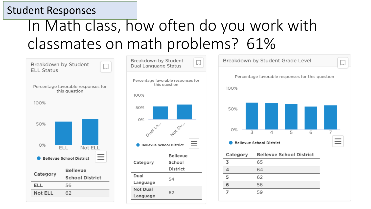# In Math class, how often do you work with classmates on math problems? 61%

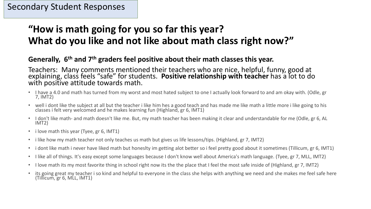## **"How is math going for you so far this year? What do you like and not like about math class right now?"**

#### **Generally, 6th and 7th graders feel positive about their math classes this year.**

Teachers: Many comments mentioned their teachers who are nice, helpful, funny, good at explaining, class feels "safe" for students. **Positive relationship with teacher** has a lot to do with positive attitude towards math.

- I have a 4.0 and math has turned from my worst and most hated subject to one I actually look forward to and am okay with. (Odle, gr 7, IMT2)
- well i dont like the subject at all but the teacher i like him hes a good teach and has made me like math a little more i like going to his classes i felt very welcomed and he makes learning fun (Highland, gr 6, IMT1)
- I don't like math- and math doesn't like me. But, my math teacher has been making it clear and understandable for me (Odle, gr 6, AL IMT2)
- i love math this year (Tyee, gr 6, IMT1)
- i like how my math teacher not only teaches us math but gives us life lessons/tips. (Highland, gr 7, IMT2)
- i dont like math i never have liked math but honeslty im getting alot better so i feel pretty good about it sometimes (Tillicum, gr 6, IMT1)
- I like all of things. It's easy except some languages because I don't know well about America's math language. (Tyee, gr 7, MLL, IMT2)
- I love math its my most favorite thing in school right now its the the place that I feel the most safe inside of (Highland, gr 7, IMT2)
- its going great my teacher i so kind and helpful to everyone in the class she helps with anything we need and she makes me feel safe here (Tillicum, gr 6, MLL, IMT1)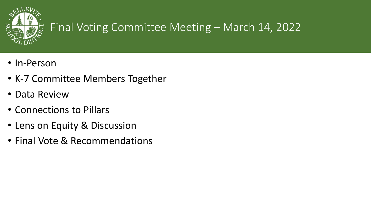

# Final Voting Committee Meeting – March 14, 2022

- In-Person
- K-7 Committee Members Together
- Data Review
- Connections to Pillars
- Lens on Equity & Discussion
- Final Vote & Recommendations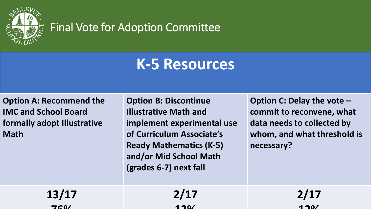

## Final Vote for Adoption Committee

# **K-5 Resources**

**Option A: Recommend the IMC and School Board formally adopt Illustrative Math**

**Option B: Discontinue Illustrative Math and implement experimental use of Curriculum Associate's Ready Mathematics (K-5) and/or Mid School Math (grades 6-7) next fall**

**Option C: Delay the vote – commit to reconvene, what data needs to collected by whom, and what threshold is necessary?** 

| 13/17           | 2/17 | 2/17 |
|-----------------|------|------|
| 7C <sub>0</sub> | 170/ | 170/ |
|                 |      |      |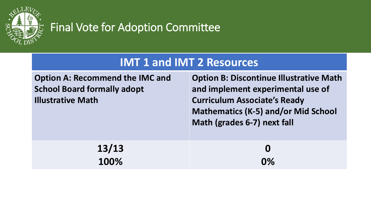

# Final Vote for Adoption Committee

## **IMT 1 and IMT 2 Resources**

| <b>Option A: Recommend the IMC and</b><br><b>School Board formally adopt</b><br><b>Illustrative Math</b> | <b>Option B: Discontinue Illustrative Math</b><br>and implement experimental use of<br><b>Curriculum Associate's Ready</b><br><b>Mathematics (K-5) and/or Mid School</b><br>Math (grades 6-7) next fall |
|----------------------------------------------------------------------------------------------------------|---------------------------------------------------------------------------------------------------------------------------------------------------------------------------------------------------------|
| 13/13                                                                                                    | $\bf{O}$                                                                                                                                                                                                |
| 100%                                                                                                     | 0%                                                                                                                                                                                                      |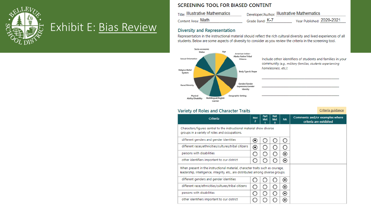

## Exhibit E: [Bias Review](https://bsd405.sharepoint.com/sites/P-7MathAdoptionCommittee2/Shared%20Documents/General/2021-22/IMC%20Presentation/Bias%20Review%20IM%20Mar%202022.pdf)

#### **SCREENING TOOL FOR BIASED CONTENT**

| Title: Illustrative Mathematics | Developer/Author: Illustrative Mathematics |                           |
|---------------------------------|--------------------------------------------|---------------------------|
| Content Area: Math              | Grade Band: K-7                            | Year Published: 2020-2021 |

#### **Diversity and Representation**

Representation in the instructional material should reflect the rich cultural diversity and lived experiences of all students. Below are some aspects of diversity to consider as you review the criteria in the screening tool.



#### Variety of Roles and Character Traits

| Criteria                                                                                                                                                          | <b>Met</b><br>2 | Part<br><b>Met</b> | <b>Not</b><br><b>Met</b><br>o | <b>NA</b>                | Comments and/or examples where<br>criteria are exhibited |  |
|-------------------------------------------------------------------------------------------------------------------------------------------------------------------|-----------------|--------------------|-------------------------------|--------------------------|----------------------------------------------------------|--|
| Characters/figures central to the instructional material show diverse<br>groups in a variety of roles and occupations.                                            |                 |                    |                               |                          |                                                          |  |
| different genders and gender identities                                                                                                                           | $\odot$         |                    |                               |                          |                                                          |  |
| different races/ethnicities/cultures/tribal citizens                                                                                                              | ◉               |                    |                               |                          |                                                          |  |
| persons with disabilities                                                                                                                                         |                 |                    |                               | $\left( \bullet \right)$ |                                                          |  |
| other identifiers important to our district                                                                                                                       |                 |                    |                               | ⊙                        |                                                          |  |
| When present in the instructional material, character traits such as courage,<br>leadership, intelligence, integrity, etc., are distributed among diverse groups. |                 |                    |                               |                          |                                                          |  |
| different genders and gender identities                                                                                                                           |                 |                    |                               | ⊙                        |                                                          |  |
| different race/ethnicities/cultures/tribal citizens                                                                                                               |                 |                    |                               | ⊙                        |                                                          |  |
| persons with disabilities                                                                                                                                         |                 |                    |                               | ◉                        |                                                          |  |
| other identifiers important to our district                                                                                                                       |                 |                    |                               | $\left( \bullet \right)$ |                                                          |  |

Criteria guidance